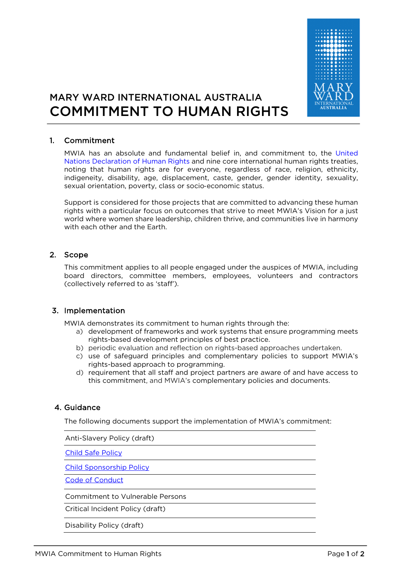

# MARY WARD INTERNATIONAL AUSTRALIA COMMITMENT TO HUMAN RIGHTS

## 1. Commitment

MWIA has an absolute and fundamental belief in, and commitment to, the United Nations Declaration of Human Rights and nine core international human rights treaties, noting that human rights are for everyone, regardless of race, religion, ethnicity, indigeneity, disability, age, displacement, caste, gender, gender identity, sexuality, sexual orientation, poverty, class or socio-economic status.

Support is considered for those projects that are committed to advancing these human rights with a particular focus on outcomes that strive to meet MWIA's Vision for a just world where women share leadership, children thrive, and communities live in harmony with each other and the Earth.

#### 2. Scope

This commitment applies to all people engaged under the auspices of MWIA, including board directors, committee members, employees, volunteers and contractors (collectively referred to as 'staff').

## 3. Implementation

MWIA demonstrates its commitment to human rights through the:

- a) development of frameworks and work systems that ensure programming meets rights-based development principles of best practice.
- b) periodic evaluation and reflection on rights-based approaches undertaken.
- c) use of safeguard principles and complementary policies to support MWIA's rights-based approach to programming.
- d) requirement that all staff and project partners are aware of and have access to this commitment, and MWIA's complementary policies and documents.

## 4. Guidance

The following documents support the implementation of MWIA's commitment:

Anti-Slavery Policy (draft)

Child Safe Policy

Child Sponsorship Policy

Code of Conduct

Commitment to Vulnerable Persons

Critical Incident Policy (draft)

Disability Policy (draft)